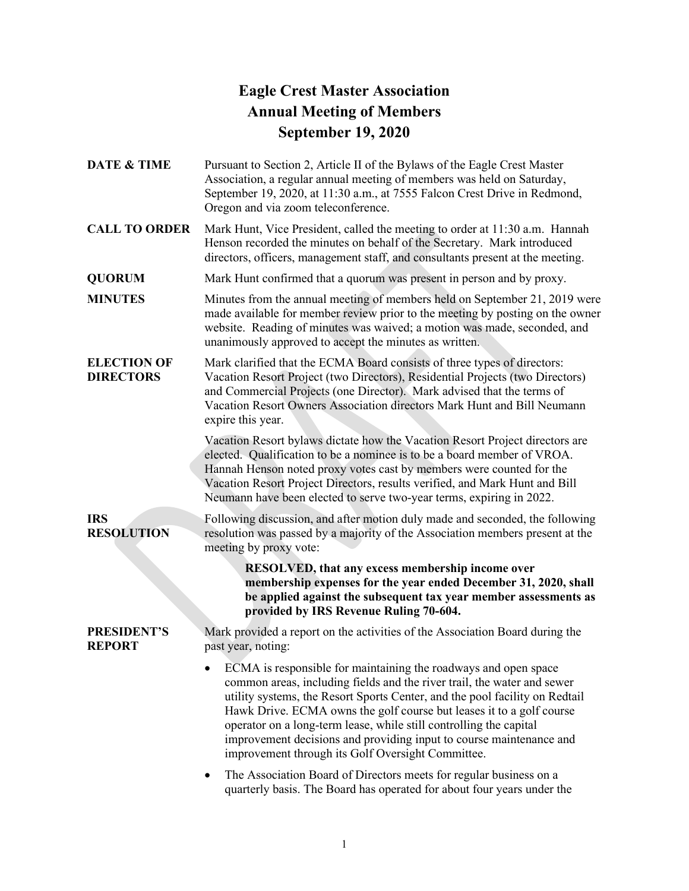## **Eagle Crest Master Association Annual Meeting of Members September 19, 2020**

**DATE & TIME** Pursuant to Section 2, Article II of the Bylaws of the Eagle Crest Master Association, a regular annual meeting of members was held on Saturday, September 19, 2020, at 11:30 a.m., at 7555 Falcon Crest Drive in Redmond, Oregon and via zoom teleconference.

**CALL TO ORDER** Mark Hunt, Vice President, called the meeting to order at 11:30 a.m. Hannah Henson recorded the minutes on behalf of the Secretary. Mark introduced directors, officers, management staff, and consultants present at the meeting.

**QUORUM** Mark Hunt confirmed that a quorum was present in person and by proxy.

**MINUTES** Minutes from the annual meeting of members held on September 21, 2019 were made available for member review prior to the meeting by posting on the owner website. Reading of minutes was waived; a motion was made, seconded, and unanimously approved to accept the minutes as written.

**ELECTION OF DIRECTORS** Mark clarified that the ECMA Board consists of three types of directors: Vacation Resort Project (two Directors), Residential Projects (two Directors) and Commercial Projects (one Director). Mark advised that the terms of Vacation Resort Owners Association directors Mark Hunt and Bill Neumann expire this year.

> Vacation Resort bylaws dictate how the Vacation Resort Project directors are elected. Qualification to be a nominee is to be a board member of VROA. Hannah Henson noted proxy votes cast by members were counted for the Vacation Resort Project Directors, results verified, and Mark Hunt and Bill Neumann have been elected to serve two-year terms, expiring in 2022.

## **IRS RESOLUTION**

Following discussion, and after motion duly made and seconded, the following resolution was passed by a majority of the Association members present at the meeting by proxy vote:

> **RESOLVED, that any excess membership income over membership expenses for the year ended December 31, 2020, shall be applied against the subsequent tax year member assessments as provided by IRS Revenue Ruling 70-604.**

## **PRESIDENT'S REPORT**

Mark provided a report on the activities of the Association Board during the past year, noting:

• ECMA is responsible for maintaining the roadways and open space common areas, including fields and the river trail, the water and sewer utility systems, the Resort Sports Center, and the pool facility on Redtail Hawk Drive. ECMA owns the golf course but leases it to a golf course operator on a long-term lease, while still controlling the capital improvement decisions and providing input to course maintenance and improvement through its Golf Oversight Committee.

• The Association Board of Directors meets for regular business on a quarterly basis. The Board has operated for about four years under the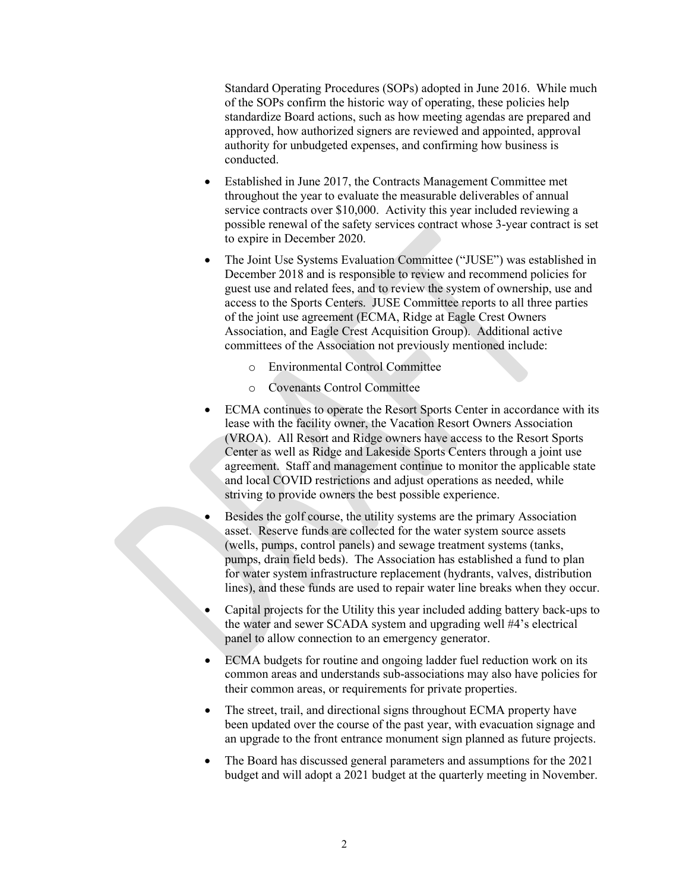Standard Operating Procedures (SOPs) adopted in June 2016. While much of the SOPs confirm the historic way of operating, these policies help standardize Board actions, such as how meeting agendas are prepared and approved, how authorized signers are reviewed and appointed, approval authority for unbudgeted expenses, and confirming how business is conducted.

- Established in June 2017, the Contracts Management Committee met throughout the year to evaluate the measurable deliverables of annual service contracts over \$10,000. Activity this year included reviewing a possible renewal of the safety services contract whose 3-year contract is set to expire in December 2020.
- The Joint Use Systems Evaluation Committee ("JUSE") was established in December 2018 and is responsible to review and recommend policies for guest use and related fees, and to review the system of ownership, use and access to the Sports Centers. JUSE Committee reports to all three parties of the joint use agreement (ECMA, Ridge at Eagle Crest Owners Association, and Eagle Crest Acquisition Group). Additional active committees of the Association not previously mentioned include:
	- o Environmental Control Committee
	- o Covenants Control Committee
- ECMA continues to operate the Resort Sports Center in accordance with its lease with the facility owner, the Vacation Resort Owners Association (VROA). All Resort and Ridge owners have access to the Resort Sports Center as well as Ridge and Lakeside Sports Centers through a joint use agreement. Staff and management continue to monitor the applicable state and local COVID restrictions and adjust operations as needed, while striving to provide owners the best possible experience.
- Besides the golf course, the utility systems are the primary Association asset. Reserve funds are collected for the water system source assets (wells, pumps, control panels) and sewage treatment systems (tanks, pumps, drain field beds). The Association has established a fund to plan for water system infrastructure replacement (hydrants, valves, distribution lines), and these funds are used to repair water line breaks when they occur.
- Capital projects for the Utility this year included adding battery back-ups to the water and sewer SCADA system and upgrading well #4's electrical panel to allow connection to an emergency generator.
- ECMA budgets for routine and ongoing ladder fuel reduction work on its common areas and understands sub-associations may also have policies for their common areas, or requirements for private properties.
- The street, trail, and directional signs throughout ECMA property have been updated over the course of the past year, with evacuation signage and an upgrade to the front entrance monument sign planned as future projects.
- The Board has discussed general parameters and assumptions for the 2021 budget and will adopt a 2021 budget at the quarterly meeting in November.